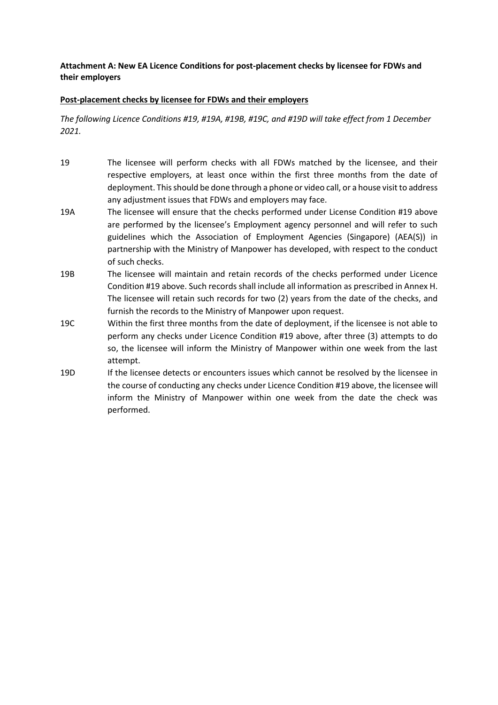## **Attachment A: New EA Licence Conditions for post-placement checks by licensee for FDWs and their employers**

## **Post-placement checks by licensee for FDWs and their employers**

*The following Licence Conditions #19, #19A, #19B, #19C, and #19D will take effect from 1 December 2021.*

- 19 The licensee will perform checks with all FDWs matched by the licensee, and their respective employers, at least once within the first three months from the date of deployment. This should be done through a phone or video call, or a house visit to address any adjustment issues that FDWs and employers may face.
- 19A The licensee will ensure that the checks performed under License Condition #19 above are performed by the licensee's Employment agency personnel and will refer to such guidelines which the Association of Employment Agencies (Singapore) (AEA(S)) in partnership with the Ministry of Manpower has developed, with respect to the conduct of such checks.
- 19B The licensee will maintain and retain records of the checks performed under Licence Condition #19 above. Such records shall include all information as prescribed in Annex H. The licensee will retain such records for two (2) years from the date of the checks, and furnish the records to the Ministry of Manpower upon request.
- 19C Within the first three months from the date of deployment, if the licensee is not able to perform any checks under Licence Condition #19 above, after three (3) attempts to do so, the licensee will inform the Ministry of Manpower within one week from the last attempt.
- 19D If the licensee detects or encounters issues which cannot be resolved by the licensee in the course of conducting any checks under Licence Condition #19 above, the licensee will inform the Ministry of Manpower within one week from the date the check was performed.